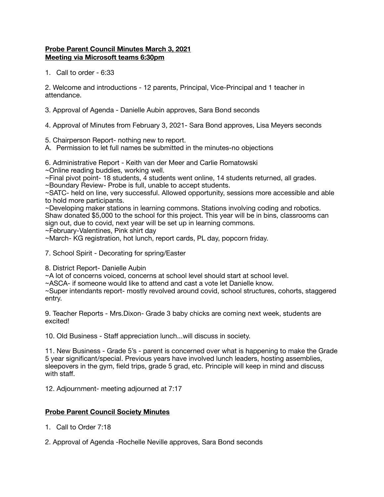## **Probe Parent Council Minutes March 3, 2021 Meeting via Microsoft teams 6:30pm**

1. Call to order - 6:33

2. Welcome and introductions - 12 parents, Principal, Vice-Principal and 1 teacher in attendance.

3. Approval of Agenda - Danielle Aubin approves, Sara Bond seconds

4. Approval of Minutes from February 3, 2021- Sara Bond approves, Lisa Meyers seconds

5. Chairperson Report- nothing new to report.

A. Permission to let full names be submitted in the minutes-no objections

6. Administrative Report - Keith van der Meer and Carlie Romatowski

~Online reading buddies, working well.

~Final pivot point- 18 students, 4 students went online, 14 students returned, all grades.

~Boundary Review- Probe is full, unable to accept students.

~SATC- held on line, very successful. Allowed opportunity, sessions more accessible and able to hold more participants.

~Developing maker stations in learning commons. Stations involving coding and robotics. Shaw donated \$5,000 to the school for this project. This year will be in bins, classrooms can sign out, due to covid, next year will be set up in learning commons.

~February-Valentines, Pink shirt day

~March- KG registration, hot lunch, report cards, PL day, popcorn friday.

7. School Spirit - Decorating for spring/Easter

8. District Report- Danielle Aubin

~A lot of concerns voiced, concerns at school level should start at school level.

~ASCA- if someone would like to attend and cast a vote let Danielle know.

~Super intendants report- mostly revolved around covid, school structures, cohorts, staggered entry.

9. Teacher Reports - Mrs.Dixon- Grade 3 baby chicks are coming next week, students are excited!

10. Old Business - Staff appreciation lunch...will discuss in society.

11. New Business - Grade 5's - parent is concerned over what is happening to make the Grade 5 year significant/special. Previous years have involved lunch leaders, hosting assemblies, sleepovers in the gym, field trips, grade 5 grad, etc. Principle will keep in mind and discuss with staff.

12. Adjournment- meeting adjourned at 7:17

## **Probe Parent Council Society Minutes**

- 1. Call to Order 7:18
- 2. Approval of Agenda -Rochelle Neville approves, Sara Bond seconds